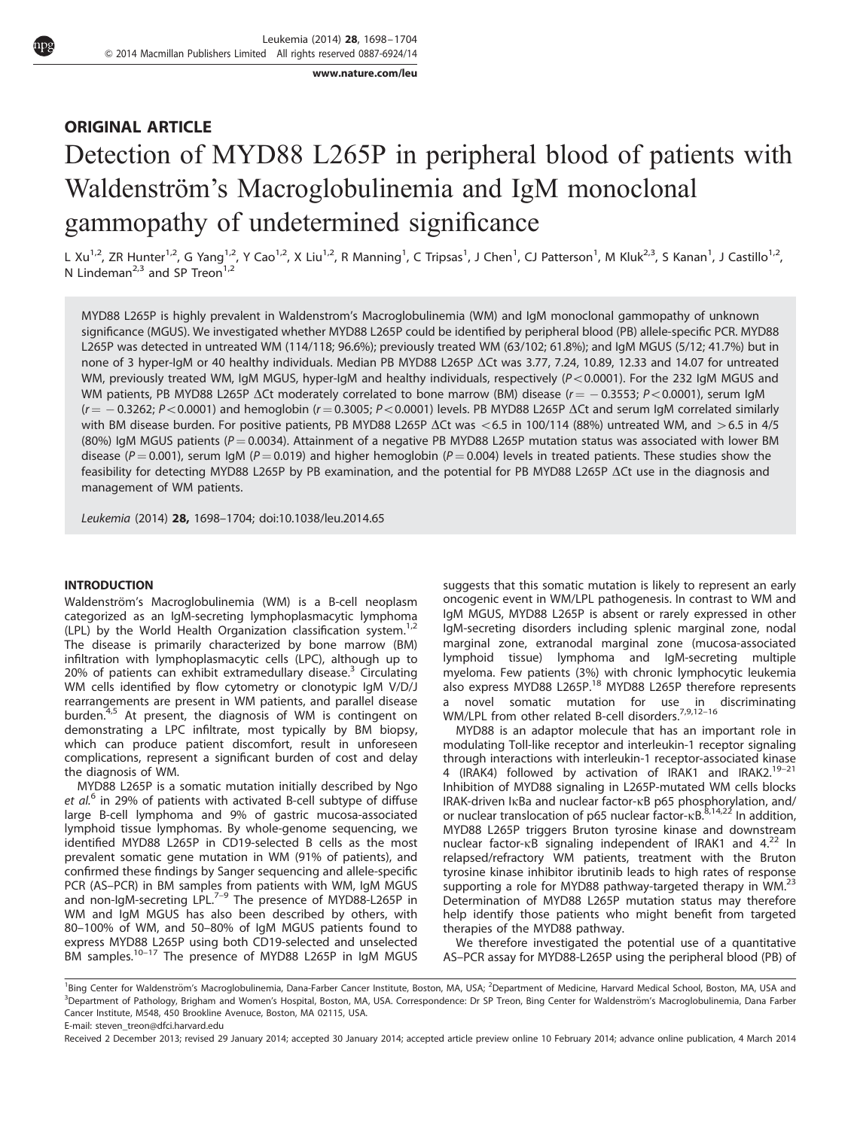[www.nature.com/leu](http://www.nature.com/leu)

## ORIGINAL ARTICLE

# Detection of MYD88 L265P in peripheral blood of patients with Waldenström's Macroglobulinemia and IgM monoclonal gammopathy of undetermined significance

L Xu<sup>1,2</sup>, ZR Hunter<sup>1,2</sup>, G Yang<sup>1,2</sup>, Y Cao<sup>1,2</sup>, X Liu<sup>1,2</sup>, R Manning<sup>1</sup>, C Tripsas<sup>1</sup>, J Chen<sup>1</sup>, CJ Patterson<sup>1</sup>, M Kluk<sup>2,3</sup>, S Kanan<sup>1</sup>, J Castillo<sup>1,2</sup>, N Lindeman<sup>2,3</sup> and SP Treon<sup>1,2</sup>

MYD88 L265P is highly prevalent in Waldenstrom's Macroglobulinemia (WM) and IgM monoclonal gammopathy of unknown significance (MGUS). We investigated whether MYD88 L265P could be identified by peripheral blood (PB) allele-specific PCR. MYD88 L265P was detected in untreated WM (114/118; 96.6%); previously treated WM (63/102; 61.8%); and IgM MGUS (5/12; 41.7%) but in none of 3 hyper-IgM or 40 healthy individuals. Median PB MYD88 L265P  $\Delta$ Ct was 3.77, 7.24, 10.89, 12.33 and 14.07 for untreated WM, previously treated WM, IgM MGUS, hyper-IgM and healthy individuals, respectively ( $P < 0.0001$ ). For the 232 IgM MGUS and WM patients, PB MYD88 L265P  $\Delta$ Ct moderately correlated to bone marrow (BM) disease ( $r$   $=$   $-$  0.3553; P<0.0001), serum IgM ( $r$   $=$   $-$  0.3262; P  $<$  0.0001) and hemoglobin (r  $=$  0.3005; P  $<$  0.0001) levels. PB MYD88 L265P  $\Delta$ Ct and serum IgM correlated similarly with BM disease burden. For positive patients, PB MYD88 L265P  $\Delta$ Ct was <6.5 in 100/114 (88%) untreated WM, and >6.5 in 4/5 (80%) IgM MGUS patients ( $P = 0.0034$ ). Attainment of a negative PB MYD88 L265P mutation status was associated with lower BM disease ( $P = 0.001$ ), serum IgM ( $P = 0.019$ ) and higher hemoglobin ( $P = 0.004$ ) levels in treated patients. These studies show the feasibility for detecting MYD88 L265P by PB examination, and the potential for PB MYD88 L265P  $\Delta$ Ct use in the diagnosis and management of WM patients.

Leukemia (2014) 28, 1698–1704; doi:[10.1038/leu.2014.65](http://dx.doi.org/10.1038/leu.2014.65)

#### INTRODUCTION

Waldenström's Macroglobulinemia (WM) is a B-cell neoplasm categorized as an IgM-secreting lymphoplasmacytic lymphoma (LPL) by the World Health Organization classification system.<sup>[1,2](#page-5-0)</sup> The disease is primarily characterized by bone marrow (BM) infiltration with lymphoplasmacytic cells (LPC), although up to 20% of patients can exhibit extramedullary disease.<sup>[3](#page-5-0)</sup> Circulating WM cells identified by flow cytometry or clonotypic IgM V/D/J rearrangements are present in WM patients, and parallel disease burden.<sup>[4,5](#page-5-0)</sup> At present, the diagnosis of WM is contingent on demonstrating a LPC infiltrate, most typically by BM biopsy, which can produce patient discomfort, result in unforeseen complications, represent a significant burden of cost and delay the diagnosis of WM.

MYD88 L265P is a somatic mutation initially described by Ngo et  $al<sup>6</sup>$  $al<sup>6</sup>$  $al<sup>6</sup>$  in 29% of patients with activated B-cell subtype of diffuse large B-cell lymphoma and 9% of gastric mucosa-associated lymphoid tissue lymphomas. By whole-genome sequencing, we identified MYD88 L265P in CD19-selected B cells as the most prevalent somatic gene mutation in WM (91% of patients), and confirmed these findings by Sanger sequencing and allele-specific PCR (AS–PCR) in BM samples from patients with WM, IgM MGUS and non-IgM-secreting LPL.<sup>[7–9](#page-5-0)</sup> The presence of MYD88-L265P in WM and IgM MGUS has also been described by others, with 80–100% of WM, and 50–80% of IgM MGUS patients found to express MYD88 L265P using both CD19-selected and unselected<br>BM samples.<sup>[10–17](#page-5-0)</sup> The presence of MYD88 L265P in IgM MGUS

suggests that this somatic mutation is likely to represent an early oncogenic event in WM/LPL pathogenesis. In contrast to WM and IgM MGUS, MYD88 L265P is absent or rarely expressed in other IgM-secreting disorders including splenic marginal zone, nodal marginal zone, extranodal marginal zone (mucosa-associated lymphoid tissue) lymphoma and IgM-secreting multiple myeloma. Few patients (3%) with chronic lymphocytic leukemia also express MYD88 L265P.[18](#page-5-0) MYD88 L265P therefore represents a novel somatic mutation for use in discriminating WM/LPL from other related B-cell disorders.<sup>7,9,12-16</sup>

MYD88 is an adaptor molecule that has an important role in modulating Toll-like receptor and interleukin-1 receptor signaling through interactions with interleukin-1 receptor-associated kinase 4 (IRAK4) followed by activation of IRAK1 and IRAK2[.19–21](#page-5-0) Inhibition of MYD88 signaling in L265P-mutated WM cells blocks IRAK-driven IkBa and nuclear factor-kB p65 phosphorylation, and/ or nuclear translocation of p65 nuclear factor-kB.<sup>[8,14,22](#page-5-0)</sup> In addition, MYD88 L265P triggers Bruton tyrosine kinase and downstream nuclear factor-kB signaling independent of IRAK1 and 4.<sup>[22](#page-5-0)</sup> In relapsed/refractory WM patients, treatment with the Bruton tyrosine kinase inhibitor ibrutinib leads to high rates of response supporting a role for MYD88 pathway-targeted therapy in WM.<sup>[23](#page-5-0)</sup> Determination of MYD88 L265P mutation status may therefore help identify those patients who might benefit from targeted therapies of the MYD88 pathway.

We therefore investigated the potential use of a quantitative AS–PCR assay for MYD88-L265P using the peripheral blood (PB) of

<sup>&</sup>lt;sup>1</sup>Bing Center for Waldenström's Macroglobulinemia, Dana-Farber Cancer Institute, Boston, MA, USA; <sup>2</sup>Department of Medicine, Harvard Medical School, Boston, MA, USA and 3<br>Department of Pathology, Brigham and Women's Hospital, Boston, MA, USA. Correspondence: Dr SP Treon, Bing Center for Waldenström's Macroglobulinemia, Dana Farber Cancer Institute, M548, 450 Brookline Avenuce, Boston, MA 02115, USA.

E-mail: [steven\\_treon@dfci.harvard.edu](mailto:steven_treon@dfci.harvard.edu)

Received 2 December 2013; revised 29 January 2014; accepted 30 January 2014; accepted article preview online 10 February 2014; advance online publication, 4 March 2014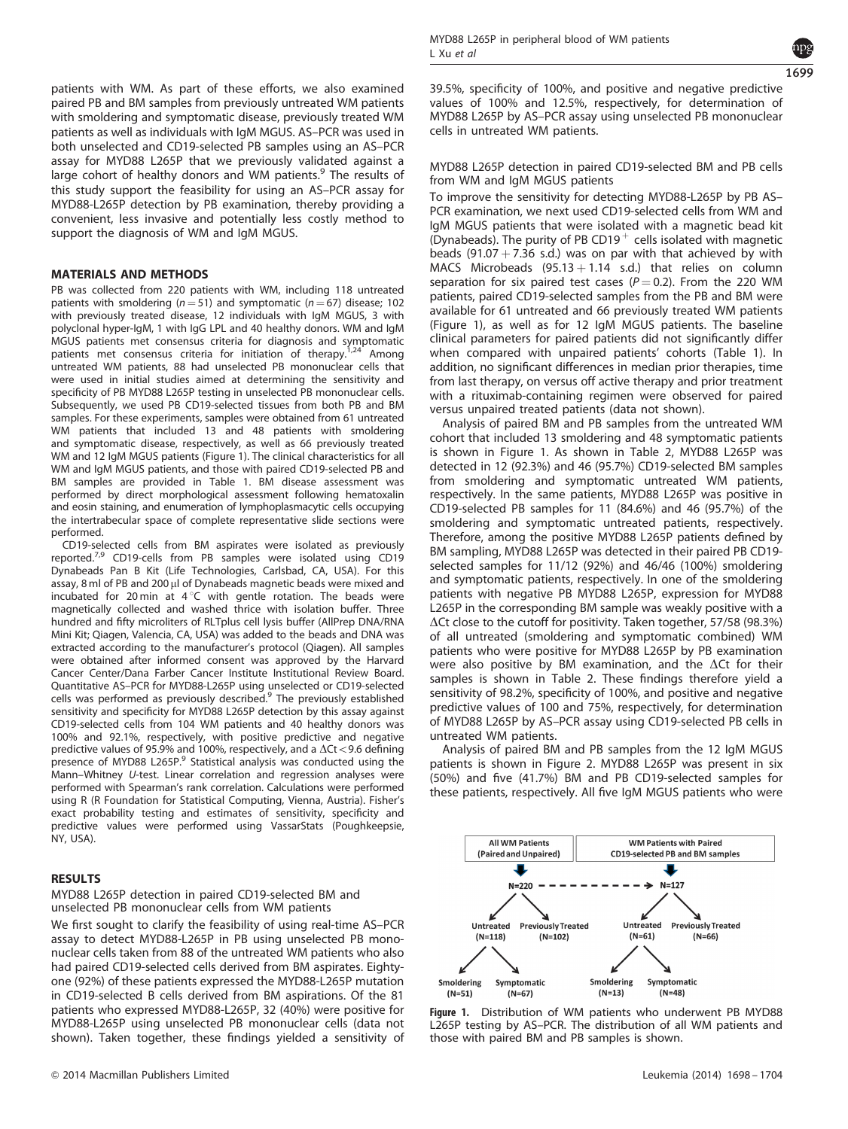

patients with WM. As part of these efforts, we also examined paired PB and BM samples from previously untreated WM patients with smoldering and symptomatic disease, previously treated WM patients as well as individuals with IgM MGUS. AS–PCR was used in both unselected and CD19-selected PB samples using an AS–PCR assay for MYD88 L265P that we previously validated against a large cohort of healthy donors and WM patients.<sup>[9](#page-5-0)</sup> The results of this study support the feasibility for using an AS–PCR assay for MYD88-L265P detection by PB examination, thereby providing a convenient, less invasive and potentially less costly method to support the diagnosis of WM and IgM MGUS.

## MATERIALS AND METHODS

PB was collected from 220 patients with WM, including 118 untreated patients with smoldering ( $n = 51$ ) and symptomatic ( $n = 67$ ) disease; 102 with previously treated disease, 12 individuals with IgM MGUS, 3 with polyclonal hyper-IgM, 1 with IgG LPL and 40 healthy donors. WM and IgM MGUS patients met consensus criteria for diagnosis and symptomatic<br>MGUS patients met consensus criteria for initiation of therapy<sup>1,24</sup> Among patients met consensus criteria for initiation of therapy.<sup>[1,24](#page-5-0)</sup> Among untreated WM patients, 88 had unselected PB mononuclear cells that were used in initial studies aimed at determining the sensitivity and specificity of PB MYD88 L265P testing in unselected PB mononuclear cells. Subsequently, we used PB CD19-selected tissues from both PB and BM samples. For these experiments, samples were obtained from 61 untreated WM patients that included 13 and 48 patients with smoldering and symptomatic disease, respectively, as well as 66 previously treated WM and 12 IgM MGUS patients (Figure 1). The clinical characteristics for all WM and IgM MGUS patients, and those with paired CD19-selected PB and BM samples are provided in [Table 1.](#page-2-0) BM disease assessment was performed by direct morphological assessment following hematoxalin and eosin staining, and enumeration of lymphoplasmacytic cells occupying the intertrabecular space of complete representative slide sections were performed.

CD19-selected cells from BM aspirates were isolated as previously reported.[7,9](#page-5-0) CD19-cells from PB samples were isolated using CD19 Dynabeads Pan B Kit (Life Technologies, Carlsbad, CA, USA). For this assay, 8 ml of PB and 200 µl of Dynabeads magnetic beads were mixed and incubated for 20 min at  $4^{\circ}$ C with gentle rotation. The beads were magnetically collected and washed thrice with isolation buffer. Three hundred and fifty microliters of RLTplus cell lysis buffer (AllPrep DNA/RNA Mini Kit; Qiagen, Valencia, CA, USA) was added to the beads and DNA was extracted according to the manufacturer's protocol (Qiagen). All samples were obtained after informed consent was approved by the Harvard Cancer Center/Dana Farber Cancer Institute Institutional Review Board. Quantitative AS–PCR for MYD88-L265P using unselected or CD1[9](#page-5-0)-selected<br>cells was performed as previously described.<sup>9</sup> The previously established sensitivity and specificity for MYD88 L265P detection by this assay against CD19-selected cells from 104 WM patients and 40 healthy donors was 100% and 92.1%, respectively, with positive predictive and negative predictive values of 95.9% and 100%, respectively, and a  $\Delta \text{Ct} <$  9.6 defining presence of MYD88 L265P.<sup>[9](#page-5-0)</sup> Statistical analysis was conducted using the Mann–Whitney U-test. Linear correlation and regression analyses were performed with Spearman's rank correlation. Calculations were performed using R (R Foundation for Statistical Computing, Vienna, Austria). Fisher's exact probability testing and estimates of sensitivity, specificity and predictive values were performed using VassarStats (Poughkeepsie, NY, USA).

## RESULTS

MYD88 L265P detection in paired CD19-selected BM and unselected PB mononuclear cells from WM patients

We first sought to clarify the feasibility of using real-time AS–PCR assay to detect MYD88-L265P in PB using unselected PB mononuclear cells taken from 88 of the untreated WM patients who also had paired CD19-selected cells derived from BM aspirates. Eightyone (92%) of these patients expressed the MYD88-L265P mutation in CD19-selected B cells derived from BM aspirations. Of the 81 patients who expressed MYD88-L265P, 32 (40%) were positive for MYD88-L265P using unselected PB mononuclear cells (data not shown). Taken together, these findings yielded a sensitivity of 39.5%, specificity of 100%, and positive and negative predictive values of 100% and 12.5%, respectively, for determination of MYD88 L265P by AS–PCR assay using unselected PB mononuclear cells in untreated WM patients.

MYD88 L265P detection in paired CD19-selected BM and PB cells from WM and IgM MGUS patients

To improve the sensitivity for detecting MYD88-L265P by PB AS– PCR examination, we next used CD19-selected cells from WM and IgM MGUS patients that were isolated with a magnetic bead kit (Dynabeads). The purity of PB CD19 $^+$  cells isolated with magnetic beads (91.07 + 7.36 s.d.) was on par with that achieved by with MACS Microbeads  $(95.13 + 1.14 \text{ s.d.})$  that relies on column separation for six paired test cases ( $P = 0.2$ ). From the 220 WM patients, paired CD19-selected samples from the PB and BM were available for 61 untreated and 66 previously treated WM patients (Figure 1), as well as for 12 IgM MGUS patients. The baseline clinical parameters for paired patients did not significantly differ when compared with unpaired patients' cohorts ([Table 1\)](#page-2-0). In addition, no significant differences in median prior therapies, time from last therapy, on versus off active therapy and prior treatment with a rituximab-containing regimen were observed for paired versus unpaired treated patients (data not shown).

Analysis of paired BM and PB samples from the untreated WM cohort that included 13 smoldering and 48 symptomatic patients is shown in Figure 1. As shown in [Table 2,](#page-2-0) MYD88 L265P was detected in 12 (92.3%) and 46 (95.7%) CD19-selected BM samples from smoldering and symptomatic untreated WM patients, respectively. In the same patients, MYD88 L265P was positive in CD19-selected PB samples for 11 (84.6%) and 46 (95.7%) of the smoldering and symptomatic untreated patients, respectively. Therefore, among the positive MYD88 L265P patients defined by BM sampling, MYD88 L265P was detected in their paired PB CD19 selected samples for 11/12 (92%) and 46/46 (100%) smoldering and symptomatic patients, respectively. In one of the smoldering patients with negative PB MYD88 L265P, expression for MYD88 L265P in the corresponding BM sample was weakly positive with a  $\Delta$ Ct close to the cutoff for positivity. Taken together, 57/58 (98.3%) of all untreated (smoldering and symptomatic combined) WM patients who were positive for MYD88 L265P by PB examination were also positive by BM examination, and the  $\Delta$ Ct for their samples is shown in [Table 2](#page-2-0). These findings therefore yield a sensitivity of 98.2%, specificity of 100%, and positive and negative predictive values of 100 and 75%, respectively, for determination of MYD88 L265P by AS–PCR assay using CD19-selected PB cells in untreated WM patients.

Analysis of paired BM and PB samples from the 12 IgM MGUS patients is shown in [Figure 2](#page-3-0). MYD88 L265P was present in six (50%) and five (41.7%) BM and PB CD19-selected samples for these patients, respectively. All five IgM MGUS patients who were



Figure 1. Distribution of WM patients who underwent PB MYD88 L265P testing by AS–PCR. The distribution of all WM patients and those with paired BM and PB samples is shown.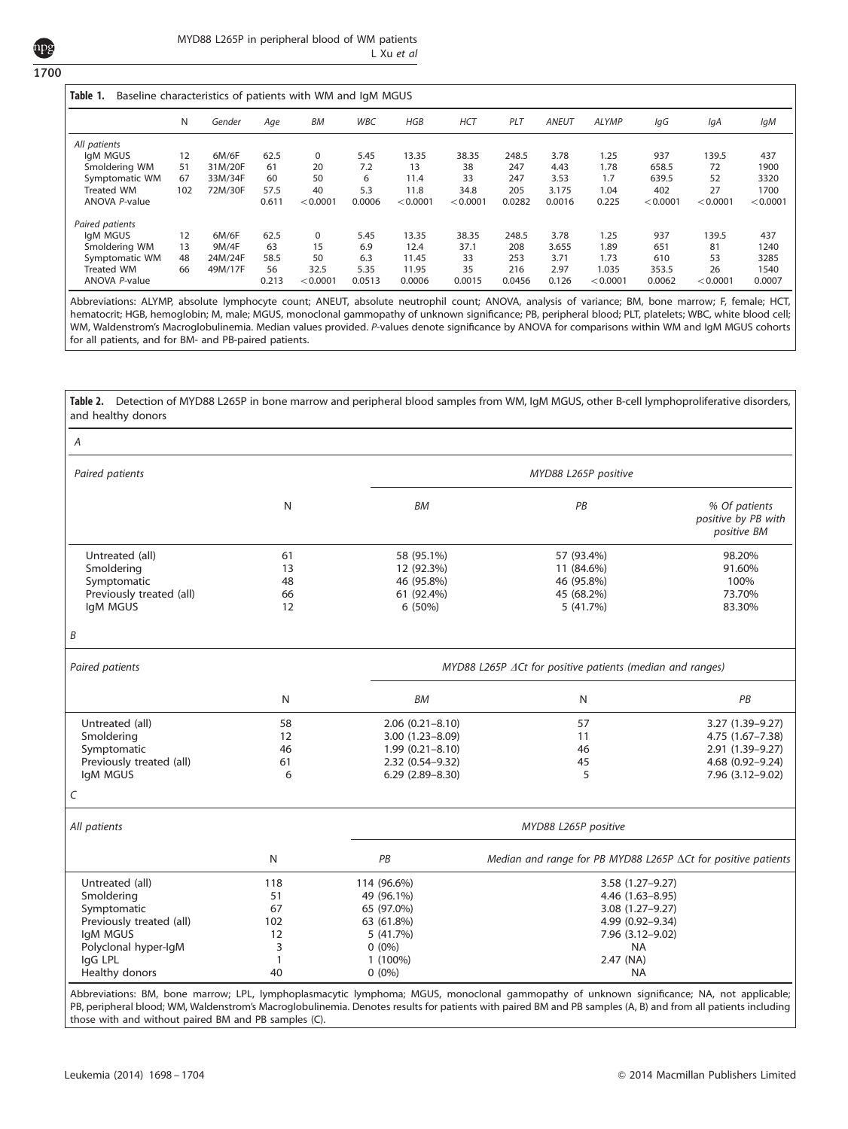<span id="page-2-0"></span>1700

| Table 1.<br>Baseline characteristics of patients with WM and IqM MGUS |     |         |       |           |        |          |            |        |              |              |          |          |          |
|-----------------------------------------------------------------------|-----|---------|-------|-----------|--------|----------|------------|--------|--------------|--------------|----------|----------|----------|
|                                                                       | N   | Gender  | Age   | <b>BM</b> | WBC    | HGB      | <b>HCT</b> | PLT    | <b>ANEUT</b> | <b>ALYMP</b> | lgG      | IgA      | IgM      |
| All patients                                                          |     |         |       |           |        |          |            |        |              |              |          |          |          |
| IgM MGUS                                                              | 12  | 6M/6F   | 62.5  | 0         | 5.45   | 13.35    | 38.35      | 248.5  | 3.78         | 1.25         | 937      | 139.5    | 437      |
| Smoldering WM                                                         | 51  | 31M/20F | 61    | 20        | 7.2    | 13       | 38         | 247    | 4.43         | 1.78         | 658.5    | 72       | 1900     |
| Symptomatic WM                                                        | 67  | 33M/34F | 60    | 50        | 6      | 11.4     | 33         | 247    | 3.53         | 1.7          | 639.5    | 52       | 3320     |
| <b>Treated WM</b>                                                     | 102 | 72M/30F | 57.5  | 40        | 5.3    | 11.8     | 34.8       | 205    | 3.175        | 1.04         | 402      | 27       | 1700     |
| ANOVA P-value                                                         |     |         | 0.611 | < 0.0001  | 0.0006 | < 0.0001 | < 0.0001   | 0.0282 | 0.0016       | 0.225        | < 0.0001 | < 0.0001 | < 0.0001 |
| Paired patients                                                       |     |         |       |           |        |          |            |        |              |              |          |          |          |
| laM MGUS                                                              | 12  | 6M/6F   | 62.5  | 0         | 5.45   | 13.35    | 38.35      | 248.5  | 3.78         | 1.25         | 937      | 139.5    | 437      |
| Smoldering WM                                                         | 13  | 9M/4F   | 63    | 15        | 6.9    | 12.4     | 37.1       | 208    | 3.655        | 1.89         | 651      | 81       | 1240     |
| Symptomatic WM                                                        | 48  | 24M/24F | 58.5  | 50        | 6.3    | 11.45    | 33         | 253    | 3.71         | 1.73         | 610      | 53       | 3285     |
| Treated WM                                                            | 66  | 49M/17F | 56    | 32.5      | 5.35   | 11.95    | 35         | 216    | 2.97         | 1.035        | 353.5    | 26       | 1540     |
| ANOVA P-value                                                         |     |         | 0.213 | < 0.0001  | 0.0513 | 0.0006   | 0.0015     | 0.0456 | 0.126        | < 0.0001     | 0.0062   | < 0.0001 | 0.0007   |

Abbreviations: ALYMP, absolute lymphocyte count; ANEUT, absolute neutrophil count; ANOVA, analysis of variance; BM, bone marrow; F, female; HCT, hematocrit; HGB, hemoglobin; M, male; MGUS, monoclonal gammopathy of unknown significance; PB, peripheral blood; PLT, platelets; WBC, white blood cell; WM, Waldenstrom's Macroglobulinemia. Median values provided. P-values denote significance by ANOVA for comparisons within WM and IgM MGUS cohorts for all patients, and for BM- and PB-paired patients.

| and healthy donors                                                                                                                        |                                                         |                                                                                                           | Table 2. Detection of MYD88 L265P in bone marrow and peripheral blood samples from WM, IgM MGUS, other B-cell lymphoproliferative disorders, |                                                                                                  |  |  |  |  |
|-------------------------------------------------------------------------------------------------------------------------------------------|---------------------------------------------------------|-----------------------------------------------------------------------------------------------------------|----------------------------------------------------------------------------------------------------------------------------------------------|--------------------------------------------------------------------------------------------------|--|--|--|--|
| Α                                                                                                                                         |                                                         |                                                                                                           |                                                                                                                                              |                                                                                                  |  |  |  |  |
| Paired patients                                                                                                                           |                                                         | MYD88 L265P positive                                                                                      |                                                                                                                                              |                                                                                                  |  |  |  |  |
|                                                                                                                                           | N                                                       | ВM                                                                                                        | PB                                                                                                                                           | % Of patients<br>positive by PB with<br>positive BM                                              |  |  |  |  |
| Untreated (all)<br>Smoldering<br>Symptomatic<br>Previously treated (all)<br>IgM MGUS                                                      | 61<br>13<br>48<br>66<br>12                              | 58 (95.1%)<br>12 (92.3%)<br>46 (95.8%)<br>61 (92.4%)<br>6 (50%)                                           | 57 (93.4%)<br>11 (84.6%)<br>46 (95.8%)<br>45 (68.2%)<br>5(41.7%)                                                                             | 98.20%<br>91.60%<br>100%<br>73.70%<br>83.30%                                                     |  |  |  |  |
| B                                                                                                                                         |                                                         |                                                                                                           |                                                                                                                                              |                                                                                                  |  |  |  |  |
| Paired patients                                                                                                                           |                                                         | MYD88 L265P ACt for positive patients (median and ranges)                                                 |                                                                                                                                              |                                                                                                  |  |  |  |  |
|                                                                                                                                           | N                                                       | BM                                                                                                        | N                                                                                                                                            | PB                                                                                               |  |  |  |  |
| Untreated (all)<br>Smoldering<br>Symptomatic<br>Previously treated (all)<br>IgM MGUS                                                      | 58<br>12<br>46<br>61<br>6                               | $2.06(0.21 - 8.10)$<br>3.00 (1.23-8.09)<br>$1.99(0.21 - 8.10)$<br>2.32 (0.54-9.32)<br>$6.29(2.89 - 8.30)$ | 57<br>11<br>46<br>45<br>5                                                                                                                    | 3.27 (1.39-9.27)<br>4.75 (1.67-7.38)<br>2.91 (1.39-9.27)<br>4.68 (0.92-9.24)<br>7.96 (3.12-9.02) |  |  |  |  |
| C                                                                                                                                         |                                                         |                                                                                                           |                                                                                                                                              |                                                                                                  |  |  |  |  |
| All patients                                                                                                                              |                                                         |                                                                                                           | MYD88 L265P positive                                                                                                                         |                                                                                                  |  |  |  |  |
|                                                                                                                                           | N                                                       | PB                                                                                                        | Median and range for PB MYD88 L265P ∆Ct for positive patients                                                                                |                                                                                                  |  |  |  |  |
| Untreated (all)<br>Smoldering<br>Symptomatic<br>Previously treated (all)<br>IgM MGUS<br>Polyclonal hyper-IgM<br>IgG LPL<br>Healthy donors | 118<br>51<br>67<br>102<br>12<br>3<br>$\mathbf{1}$<br>40 | 114 (96.6%)<br>49 (96.1%)<br>65 (97.0%)<br>63 (61.8%)<br>5 (41.7%)<br>$0(0\%)$<br>1 (100%)<br>$0(0\%)$    | 3.58 (1.27-9.27)<br>4.46 (1.63-8.95)<br>3.08 (1.27-9.27)<br>4.99 (0.92-9.34)<br>7.96 (3.12-9.02)<br><b>NA</b><br>2.47 (NA)<br><b>NA</b>      |                                                                                                  |  |  |  |  |

Abbreviations: BM, bone marrow; LPL, lymphoplasmacytic lymphoma; MGUS, monoclonal gammopathy of unknown significance; NA, not applicable; PB, peripheral blood; WM, Waldenstrom's Macroglobulinemia. Denotes results for patients with paired BM and PB samples (A, B) and from all patients including those with and without paired BM and PB samples (C).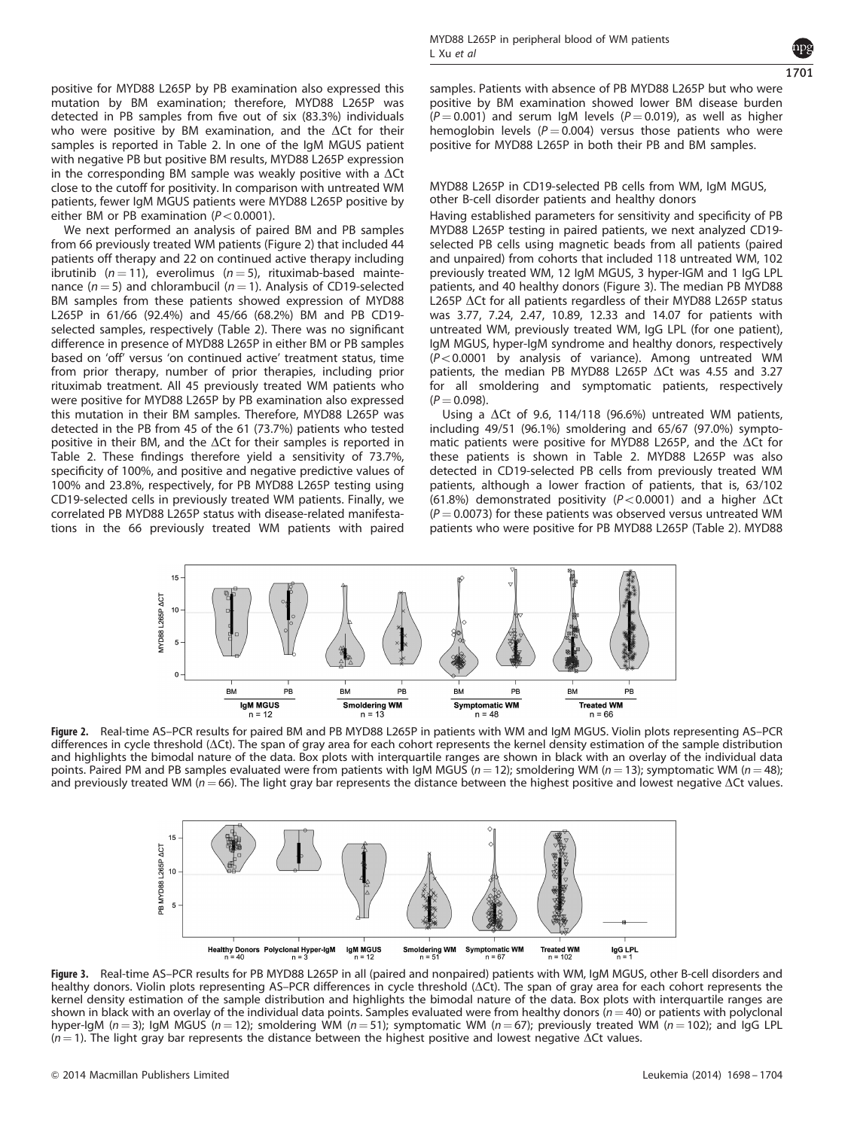<span id="page-3-0"></span>positive for MYD88 L265P by PB examination also expressed this mutation by BM examination; therefore, MYD88 L265P was detected in PB samples from five out of six (83.3%) individuals who were positive by BM examination, and the  $\Delta$ Ct for their samples is reported in [Table 2](#page-2-0). In one of the IgM MGUS patient with negative PB but positive BM results, MYD88 L265P expression in the corresponding BM sample was weakly positive with a  $\Delta$ Ct close to the cutoff for positivity. In comparison with untreated WM patients, fewer IgM MGUS patients were MYD88 L265P positive by either BM or PB examination ( $P < 0.0001$ ).

We next performed an analysis of paired BM and PB samples from 66 previously treated WM patients (Figure 2) that included 44 patients off therapy and 22 on continued active therapy including ibrutinib ( $n = 11$ ), everolimus ( $n = 5$ ), rituximab-based maintenance ( $n = 5$ ) and chlorambucil ( $n = 1$ ). Analysis of CD19-selected BM samples from these patients showed expression of MYD88 L265P in 61/66 (92.4%) and 45/66 (68.2%) BM and PB CD19 selected samples, respectively [\(Table 2](#page-2-0)). There was no significant difference in presence of MYD88 L265P in either BM or PB samples based on 'off' versus 'on continued active' treatment status, time from prior therapy, number of prior therapies, including prior rituximab treatment. All 45 previously treated WM patients who were positive for MYD88 L265P by PB examination also expressed this mutation in their BM samples. Therefore, MYD88 L265P was detected in the PB from 45 of the 61 (73.7%) patients who tested positive in their BM, and the  $\Delta$ Ct for their samples is reported in [Table 2.](#page-2-0) These findings therefore yield a sensitivity of 73.7%, specificity of 100%, and positive and negative predictive values of 100% and 23.8%, respectively, for PB MYD88 L265P testing using CD19-selected cells in previously treated WM patients. Finally, we correlated PB MYD88 L265P status with disease-related manifestations in the 66 previously treated WM patients with paired



samples. Patients with absence of PB MYD88 L265P but who were positive by BM examination showed lower BM disease burden  $(P = 0.001)$  and serum IgM levels  $(P = 0.019)$ , as well as higher hemoglobin levels ( $P = 0.004$ ) versus those patients who were positive for MYD88 L265P in both their PB and BM samples.

#### MYD88 L265P in CD19-selected PB cells from WM, IgM MGUS, other B-cell disorder patients and healthy donors

Having established parameters for sensitivity and specificity of PB MYD88 L265P testing in paired patients, we next analyzed CD19 selected PB cells using magnetic beads from all patients (paired and unpaired) from cohorts that included 118 untreated WM, 102 previously treated WM, 12 IgM MGUS, 3 hyper-IGM and 1 IgG LPL patients, and 40 healthy donors (Figure 3). The median PB MYD88 L265P  $\Delta$ Ct for all patients regardless of their MYD88 L265P status was 3.77, 7.24, 2.47, 10.89, 12.33 and 14.07 for patients with untreated WM, previously treated WM, IgG LPL (for one patient), IgM MGUS, hyper-IgM syndrome and healthy donors, respectively  $(P<0.0001$  by analysis of variance). Among untreated WM patients, the median PB MYD88 L265P  $\Delta$ Ct was 4.55 and 3.27 for all smoldering and symptomatic patients, respectively  $(P = 0.098)$ .

Using a  $\Delta$ Ct of 9.6, 114/118 (96.6%) untreated WM patients, including 49/51 (96.1%) smoldering and 65/67 (97.0%) symptomatic patients were positive for MYD88 L265P, and the  $\Delta$ Ct for these patients is shown in [Table 2](#page-2-0). MYD88 L265P was also detected in CD19-selected PB cells from previously treated WM patients, although a lower fraction of patients, that is, 63/102 (61.8%) demonstrated positivity ( $P < 0.0001$ ) and a higher  $\Delta$ Ct  $(P = 0.0073)$  for these patients was observed versus untreated WM patients who were positive for PB MYD88 L265P ([Table 2](#page-2-0)). MYD88



Figure 2. Real-time AS–PCR results for paired BM and PB MYD88 L265P in patients with WM and IgM MGUS. Violin plots representing AS–PCR differences in cycle threshold ( $\Delta$ Ct). The span of gray area for each cohort represents the kernel density estimation of the sample distribution and highlights the bimodal nature of the data. Box plots with interquartile ranges are shown in black with an overlay of the individual data points. Paired PM and PB samples evaluated were from patients with IgM MGUS ( $n = 12$ ); smoldering WM ( $n = 13$ ); symptomatic WM ( $n = 48$ ); and previously treated WM ( $n = 66$ ). The light gray bar represents the distance between the highest positive and lowest negative  $\Delta$ Ct values.



Figure 3. Real-time AS–PCR results for PB MYD88 L265P in all (paired and nonpaired) patients with WM, IgM MGUS, other B-cell disorders and healthy donors. Violin plots representing AS–PCR differences in cycle threshold ( $\Delta$ Ct). The span of gray area for each cohort represents the kernel density estimation of the sample distribution and highlights the bimodal nature of the data. Box plots with interquartile ranges are shown in black with an overlay of the individual data points. Samples evaluated were from healthy donors ( $n = 40$ ) or patients with polyclonal hyper-IgM ( $n = 3$ ); IgM MGUS ( $n = 12$ ); smoldering WM ( $n = 51$ ); symptomatic WM ( $n = 67$ ); previously treated WM ( $n = 102$ ); and IgG LPL  $(n = 1)$ . The light gray bar represents the distance between the highest positive and lowest negative  $\Delta$ Ct values.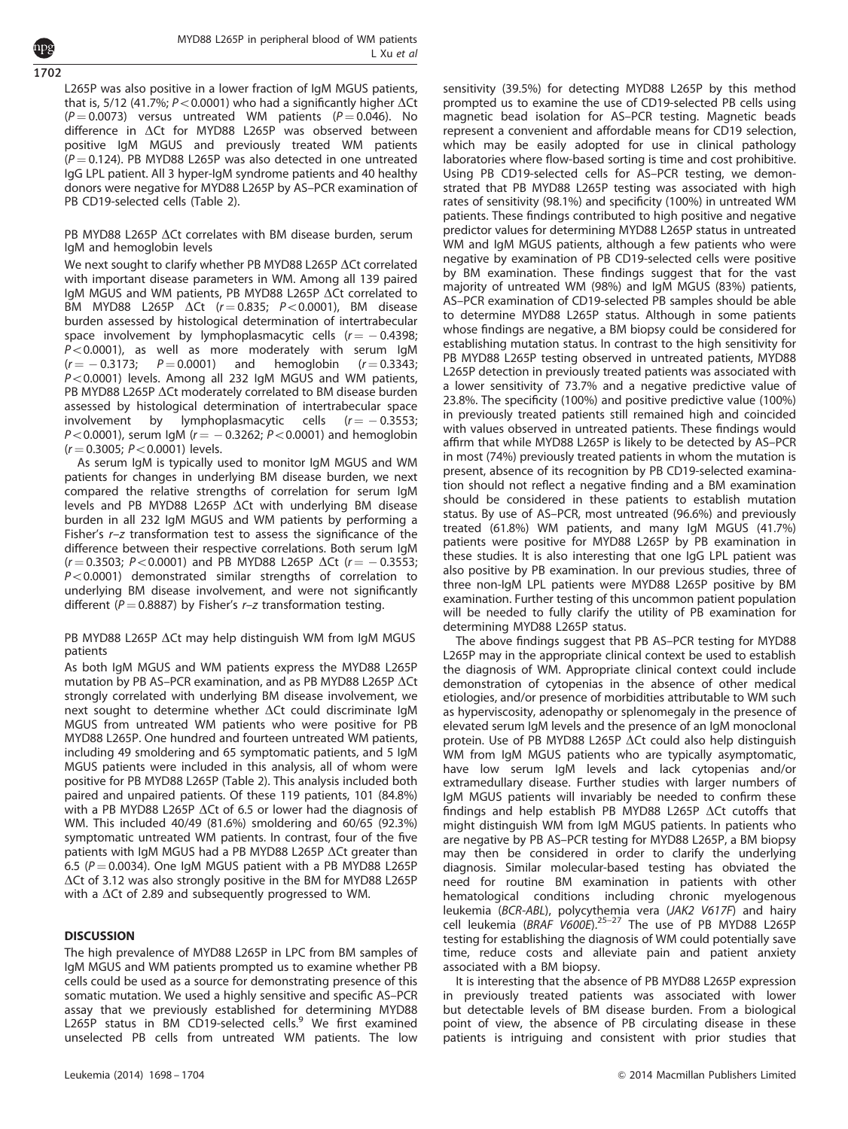1702

L265P was also positive in a lower fraction of IgM MGUS patients, that is, 5/12 (41.7%;  $P < 0.0001$ ) who had a significantly higher  $\Delta$ Ct  $(P = 0.0073)$  versus untreated WM patients  $(P = 0.046)$ . No difference in  $\Delta$ Ct for MYD88 L265P was observed between positive IgM MGUS and previously treated WM patients  $(P = 0.124)$ . PB MYD88 L265P was also detected in one untreated IgG LPL patient. All 3 hyper-IgM syndrome patients and 40 healthy donors were negative for MYD88 L265P by AS–PCR examination of PB CD19-selected cells [\(Table 2](#page-2-0)).

#### PB MYD88 L265P  $\Delta$ Ct correlates with BM disease burden, serum IgM and hemoglobin levels

We next sought to clarify whether PB MYD88 L265P  $\Delta$ Ct correlated with important disease parameters in WM. Among all 139 paired IgM MGUS and WM patients, PB MYD88 L265P  $\Delta$ Ct correlated to BM MYD88 L265P  $\Delta$ Ct (r = 0.835; P < 0.0001), BM disease burden assessed by histological determination of intertrabecular space involvement by lymphoplasmacytic cells  $(r = -0.4398;$  $P < 0.0001$ ), as well as more moderately with serum IgM  $(r = -0.3173; P = 0.0001)$  and hemoglobin  $(r = 0.3343; P = 0.0001)$  $P < 0.0001$ ) levels. Among all 232 IgM MGUS and WM patients, PB MYD88 L265P  $\Delta$ Ct moderately correlated to BM disease burden assessed by histological determination of intertrabecular space involvement by lymphoplasmacytic cells  $(r = -0.3553;$  $P\!<\!0.0001$ ), serum IgM ( $r\!=\,-\,0.3262$ ;  $P\!<\!0.0001$ ) and hemoglobin  $(r = 0.3005; P < 0.0001)$  levels.

As serum IgM is typically used to monitor IgM MGUS and WM patients for changes in underlying BM disease burden, we next compared the relative strengths of correlation for serum IgM levels and PB MYD88 L265P  $\Delta$ Ct with underlying BM disease burden in all 232 IgM MGUS and WM patients by performing a Fisher's r–z transformation test to assess the significance of the difference between their respective correlations. Both serum IgM  $(r = 0.3503; P < 0.0001)$  and PB MYD88 L265P  $\Delta$ Ct  $(r = -0.3553;$  $P < 0.0001$ ) demonstrated similar strengths of correlation to underlying BM disease involvement, and were not significantly different ( $P = 0.8887$ ) by Fisher's r-z transformation testing.

PB MYD88 L265P  $\Delta$ Ct may help distinguish WM from IgM MGUS patients

As both IgM MGUS and WM patients express the MYD88 L265P mutation by PB AS-PCR examination, and as PB MYD88 L265P  $\Delta$ Ct strongly correlated with underlying BM disease involvement, we next sought to determine whether  $\Delta$ Ct could discriminate IgM MGUS from untreated WM patients who were positive for PB MYD88 L265P. One hundred and fourteen untreated WM patients, including 49 smoldering and 65 symptomatic patients, and 5 IgM MGUS patients were included in this analysis, all of whom were positive for PB MYD88 L265P [\(Table 2\)](#page-2-0). This analysis included both paired and unpaired patients. Of these 119 patients, 101 (84.8%) with a PB MYD88 L265P  $\Delta$ Ct of 6.5 or lower had the diagnosis of WM. This included 40/49 (81.6%) smoldering and 60/65 (92.3%) symptomatic untreated WM patients. In contrast, four of the five patients with IgM MGUS had a PB MYD88 L265P  $\Delta$ Ct greater than 6.5 ( $P = 0.0034$ ). One IgM MGUS patient with a PB MYD88 L265P  $\Delta$ Ct of 3.12 was also strongly positive in the BM for MYD88 L265P with a  $\Delta$ Ct of 2.89 and subsequently progressed to WM.

#### **DISCUSSION**

The high prevalence of MYD88 L265P in LPC from BM samples of IgM MGUS and WM patients prompted us to examine whether PB cells could be used as a source for demonstrating presence of this somatic mutation. We used a highly sensitive and specific AS–PCR assay that we previously established for determining MYD88<br>L265P status in BM CD1[9](#page-5-0)-selected cells.<sup>9</sup> We first examined unselected PB cells from untreated WM patients. The low sensitivity (39.5%) for detecting MYD88 L265P by this method prompted us to examine the use of CD19-selected PB cells using magnetic bead isolation for AS–PCR testing. Magnetic beads represent a convenient and affordable means for CD19 selection, which may be easily adopted for use in clinical pathology laboratories where flow-based sorting is time and cost prohibitive. Using PB CD19-selected cells for AS–PCR testing, we demonstrated that PB MYD88 L265P testing was associated with high rates of sensitivity (98.1%) and specificity (100%) in untreated WM patients. These findings contributed to high positive and negative predictor values for determining MYD88 L265P status in untreated WM and IgM MGUS patients, although a few patients who were negative by examination of PB CD19-selected cells were positive by BM examination. These findings suggest that for the vast majority of untreated WM (98%) and IgM MGUS (83%) patients, AS–PCR examination of CD19-selected PB samples should be able to determine MYD88 L265P status. Although in some patients whose findings are negative, a BM biopsy could be considered for establishing mutation status. In contrast to the high sensitivity for PB MYD88 L265P testing observed in untreated patients, MYD88 L265P detection in previously treated patients was associated with a lower sensitivity of 73.7% and a negative predictive value of 23.8%. The specificity (100%) and positive predictive value (100%) in previously treated patients still remained high and coincided with values observed in untreated patients. These findings would affirm that while MYD88 L265P is likely to be detected by AS–PCR in most (74%) previously treated patients in whom the mutation is present, absence of its recognition by PB CD19-selected examination should not reflect a negative finding and a BM examination should be considered in these patients to establish mutation status. By use of AS–PCR, most untreated (96.6%) and previously treated (61.8%) WM patients, and many IgM MGUS (41.7%) patients were positive for MYD88 L265P by PB examination in these studies. It is also interesting that one IgG LPL patient was also positive by PB examination. In our previous studies, three of three non-IgM LPL patients were MYD88 L265P positive by BM examination. Further testing of this uncommon patient population will be needed to fully clarify the utility of PB examination for determining MYD88 L265P status.

The above findings suggest that PB AS–PCR testing for MYD88 L265P may in the appropriate clinical context be used to establish the diagnosis of WM. Appropriate clinical context could include demonstration of cytopenias in the absence of other medical etiologies, and/or presence of morbidities attributable to WM such as hyperviscosity, adenopathy or splenomegaly in the presence of elevated serum IgM levels and the presence of an IgM monoclonal protein. Use of PB MYD88 L265P  $\Delta$ Ct could also help distinguish WM from IgM MGUS patients who are typically asymptomatic, have low serum IgM levels and lack cytopenias and/or extramedullary disease. Further studies with larger numbers of IgM MGUS patients will invariably be needed to confirm these findings and help establish PB MYD88 L265P  $\Delta$ Ct cutoffs that might distinguish WM from IgM MGUS patients. In patients who are negative by PB AS–PCR testing for MYD88 L265P, a BM biopsy may then be considered in order to clarify the underlying diagnosis. Similar molecular-based testing has obviated the need for routine BM examination in patients with other hematological conditions including chronic myelogenous leukemia (BCR-ABL), polycythemia vera (JAK2 V617F) and hairy<br>cell leukemia (BRAF V600E).<sup>[25–27](#page-6-0)</sup> The use of PB MYD88 L265P testing for establishing the diagnosis of WM could potentially save time, reduce costs and alleviate pain and patient anxiety associated with a BM biopsy.

It is interesting that the absence of PB MYD88 L265P expression in previously treated patients was associated with lower but detectable levels of BM disease burden. From a biological point of view, the absence of PB circulating disease in these patients is intriguing and consistent with prior studies that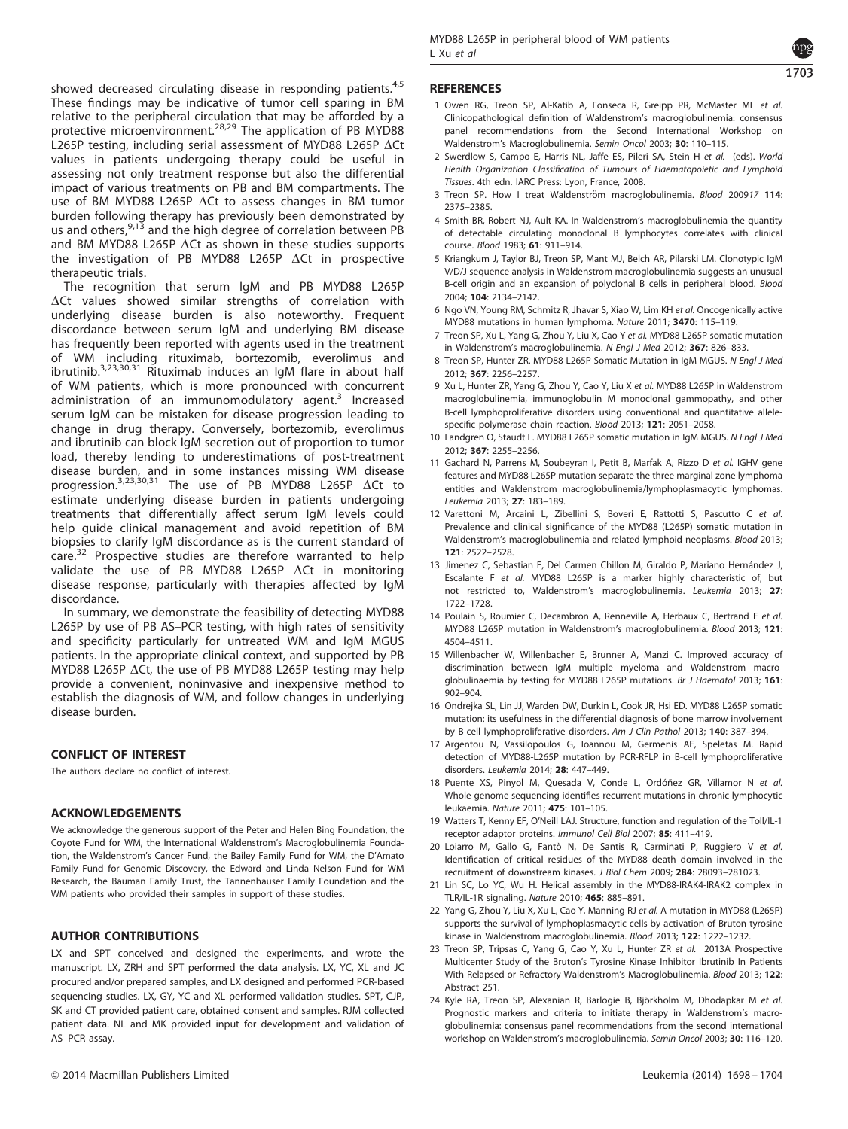1703

<span id="page-5-0"></span>showed decreased circulating disease in responding patients.<sup>4,5</sup> These findings may be indicative of tumor cell sparing in BM relative to the peripheral circulation that may be afforded by a protective microenvironment.<sup>[28,29](#page-6-0)</sup> The application of PB MYD88 L265P testing, including serial assessment of MYD88 L265P  $\Delta$ Ct values in patients undergoing therapy could be useful in assessing not only treatment response but also the differential impact of various treatments on PB and BM compartments. The use of BM MYD88 L265P  $\Delta$ Ct to assess changes in BM tumor burden following therapy has previously been demonstrated by us and others, <sup>9,13</sup> and the high degree of correlation between PB and BM MYD88 L265P  $\Delta$ Ct as shown in these studies supports the investigation of PB MYD88 L265P  $\Delta$ Ct in prospective therapeutic trials.

The recognition that serum IgM and PB MYD88 L265P  $\Delta$ Ct values showed similar strengths of correlation with underlying disease burden is also noteworthy. Frequent discordance between serum IgM and underlying BM disease has frequently been reported with agents used in the treatment of WM including rituximab, bortezomib, everolimus and ibrutinib.3,23,30,31 Rituximab induces an IgM flare in about half of WM patients, which is more pronounced with concurrent administration of an immunomodulatory agent. $3$  Increased serum IgM can be mistaken for disease progression leading to change in drug therapy. Conversely, bortezomib, everolimus and ibrutinib can block IgM secretion out of proportion to tumor load, thereby lending to underestimations of post-treatment disease burden, and in some instances missing WM disease progression. $3,23,30,31$  The use of PB MYD88 L265P  $\Delta$ Ct to estimate underlying disease burden in patients undergoing treatments that differentially affect serum IgM levels could help guide clinical management and avoid repetition of BM biopsies to clarify IgM discordance as is the current standard of care.<sup>[32](#page-6-0)</sup> Prospective studies are therefore warranted to help validate the use of PB MYD88 L265P  $\Delta$ Ct in monitoring disease response, particularly with therapies affected by IgM discordance.

In summary, we demonstrate the feasibility of detecting MYD88 L265P by use of PB AS–PCR testing, with high rates of sensitivity and specificity particularly for untreated WM and IgM MGUS patients. In the appropriate clinical context, and supported by PB MYD88 L265P  $\Delta$ Ct, the use of PB MYD88 L265P testing may help provide a convenient, noninvasive and inexpensive method to establish the diagnosis of WM, and follow changes in underlying disease burden.

#### CONFLICT OF INTEREST

The authors declare no conflict of interest.

#### ACKNOWLEDGEMENTS

We acknowledge the generous support of the Peter and Helen Bing Foundation, the Coyote Fund for WM, the International Waldenstrom's Macroglobulinemia Foundation, the Waldenstrom's Cancer Fund, the Bailey Family Fund for WM, the D'Amato Family Fund for Genomic Discovery, the Edward and Linda Nelson Fund for WM Research, the Bauman Family Trust, the Tannenhauser Family Foundation and the WM patients who provided their samples in support of these studies.

#### AUTHOR CONTRIBUTIONS

LX and SPT conceived and designed the experiments, and wrote the manuscript. LX, ZRH and SPT performed the data analysis. LX, YC, XL and JC procured and/or prepared samples, and LX designed and performed PCR-based sequencing studies. LX, GY, YC and XL performed validation studies. SPT, CJP, SK and CT provided patient care, obtained consent and samples. RJM collected patient data. NL and MK provided input for development and validation of AS–PCR assay.

#### **REFERENCES**

- 1 Owen RG, Treon SP, Al-Katib A, Fonseca R, Greipp PR, McMaster ML et al. Clinicopathological definition of Waldenstrom's macroglobulinemia: consensus panel recommendations from the Second International Workshop on Waldenstrom's Macroglobulinemia. Semin Oncol 2003; 30: 110–115.
- 2 Swerdlow S, Campo E, Harris NL, Jaffe ES, Pileri SA, Stein H et al. (eds). World Health Organization Classification of Tumours of Haematopoietic and Lymphoid Tissues. 4th edn. IARC Press: Lyon, France, 2008.
- 3 Treon SP. How I treat Waldenström macroglobulinemia. Blood 200917 114: 2375–2385.
- 4 Smith BR, Robert NJ, Ault KA. In Waldenstrom's macroglobulinemia the quantity of detectable circulating monoclonal B lymphocytes correlates with clinical course. Blood 1983; 61: 911–914.
- 5 Kriangkum J, Taylor BJ, Treon SP, Mant MJ, Belch AR, Pilarski LM. Clonotypic IgM V/D/J sequence analysis in Waldenstrom macroglobulinemia suggests an unusual B-cell origin and an expansion of polyclonal B cells in peripheral blood. Blood 2004; 104: 2134–2142.
- 6 Ngo VN, Young RM, Schmitz R, Jhavar S, Xiao W, Lim KH et al. Oncogenically active MYD88 mutations in human lymphoma. Nature 2011; 3470: 115–119.
- 7 Treon SP, Xu L, Yang G, Zhou Y, Liu X, Cao Y et al. MYD88 L265P somatic mutation in Waldenstrom's macroglobulinemia. N Engl J Med 2012; 367: 826-833.
- 8 Treon SP, Hunter ZR. MYD88 L265P Somatic Mutation in IgM MGUS. N Engl J Med 2012; 367: 2256–2257.
- 9 Xu L, Hunter ZR, Yang G, Zhou Y, Cao Y, Liu X et al. MYD88 L265P in Waldenstrom macroglobulinemia, immunoglobulin M monoclonal gammopathy, and other B-cell lymphoproliferative disorders using conventional and quantitative allelespecific polymerase chain reaction. Blood 2013; 121: 2051–2058.
- 10 Landgren O, Staudt L. MYD88 L265P somatic mutation in IgM MGUS. N Engl J Med 2012; 367: 2255–2256.
- 11 Gachard N, Parrens M, Soubeyran I, Petit B, Marfak A, Rizzo D et al. IGHV gene features and MYD88 L265P mutation separate the three marginal zone lymphoma entities and Waldenstrom macroglobulinemia/lymphoplasmacytic lymphomas. Leukemia 2013; 27: 183–189.
- 12 Varettoni M, Arcaini L, Zibellini S, Boveri E, Rattotti S, Pascutto C et al. Prevalence and clinical significance of the MYD88 (L265P) somatic mutation in Waldenstrom's macroglobulinemia and related lymphoid neoplasms. Blood 2013; 121: 2522–2528.
- 13 Jimenez C, Sebastian E, Del Carmen Chillon M, Giraldo P, Mariano Hernández J, Escalante F et al. MYD88 L265P is a marker highly characteristic of, but not restricted to, Waldenstrom's macroglobulinemia. Leukemia 2013; 27: 1722–1728.
- 14 Poulain S, Roumier C, Decambron A, Renneville A, Herbaux C, Bertrand E et al. MYD88 L265P mutation in Waldenstrom's macroglobulinemia. Blood 2013; 121: 4504–4511.
- 15 Willenbacher W, Willenbacher E, Brunner A, Manzi C. Improved accuracy of discrimination between IgM multiple myeloma and Waldenstrom macroglobulinaemia by testing for MYD88 L265P mutations. Br J Haematol 2013; 161: 902–904.
- 16 Ondrejka SL, Lin JJ, Warden DW, Durkin L, Cook JR, Hsi ED. MYD88 L265P somatic mutation: its usefulness in the differential diagnosis of bone marrow involvement by B-cell lymphoproliferative disorders. Am J Clin Pathol 2013; 140: 387–394.
- 17 Argentou N, Vassilopoulos G, Ioannou M, Germenis AE, Speletas M. Rapid detection of MYD88-L265P mutation by PCR-RFLP in B-cell lymphoproliferative disorders. Leukemia 2014; 28: 447–449.
- 18 Puente XS, Pinyol M, Ouesada V, Conde L, Ordóñez GR, Villamor N et al. Whole-genome sequencing identifies recurrent mutations in chronic lymphocytic leukaemia. Nature 2011; 475: 101–105.
- 19 Watters T, Kenny EF, O'Neill LAJ. Structure, function and regulation of the Toll/IL-1 receptor adaptor proteins. Immunol Cell Biol 2007; 85: 411–419.
- 20 Loiarro M, Gallo G, Fantò N, De Santis R, Carminati P, Ruggiero V et al. Identification of critical residues of the MYD88 death domain involved in the recruitment of downstream kinases. J Biol Chem 2009; 284: 28093–281023.
- 21 Lin SC, Lo YC, Wu H. Helical assembly in the MYD88-IRAK4-IRAK2 complex in TLR/IL-1R signaling. Nature 2010; 465: 885–891.
- 22 Yang G, Zhou Y, Liu X, Xu L, Cao Y, Manning RJ et al. A mutation in MYD88 (L265P) supports the survival of lymphoplasmacytic cells by activation of Bruton tyrosine kinase in Waldenstrom macroglobulinemia. Blood 2013; 122: 1222-1232.
- 23 Treon SP, Tripsas C, Yang G, Cao Y, Xu L, Hunter ZR et al. 2013A Prospective Multicenter Study of the Bruton's Tyrosine Kinase Inhibitor Ibrutinib In Patients With Relapsed or Refractory Waldenstrom's Macroglobulinemia. Blood 2013; 122: Abstract 251.
- 24 Kyle RA, Treon SP, Alexanian R, Barlogie B, Björkholm M, Dhodapkar M et al. Prognostic markers and criteria to initiate therapy in Waldenstrom's macroglobulinemia: consensus panel recommendations from the second international workshop on Waldenstrom's macroglobulinemia. Semin Oncol 2003; 30: 116–120.